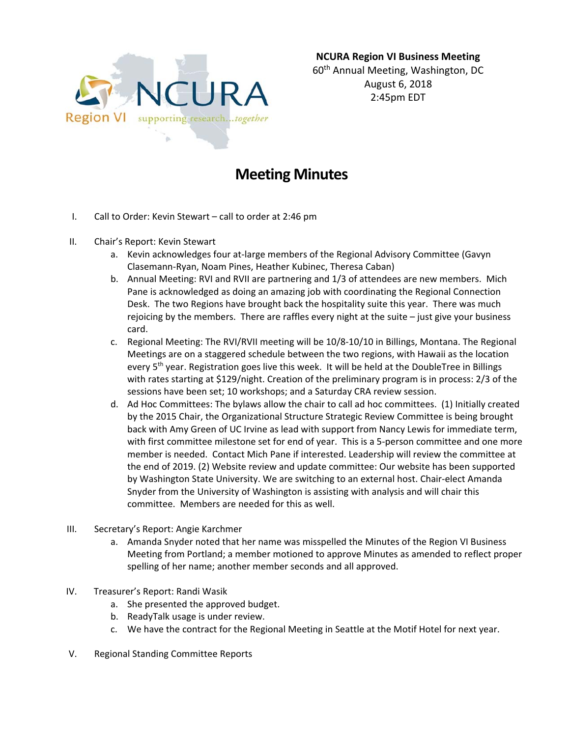

## **Meeting Minutes**

- I. Call to Order: Kevin Stewart call to order at 2:46 pm
- II. Chair's Report: Kevin Stewart
	- a. Kevin acknowledges four at‐large members of the Regional Advisory Committee (Gavyn Clasemann‐Ryan, Noam Pines, Heather Kubinec, Theresa Caban)
	- b. Annual Meeting: RVI and RVII are partnering and 1/3 of attendees are new members. Mich Pane is acknowledged as doing an amazing job with coordinating the Regional Connection Desk. The two Regions have brought back the hospitality suite this year. There was much rejoicing by the members. There are raffles every night at the suite – just give your business card.
	- c. Regional Meeting: The RVI/RVII meeting will be 10/8‐10/10 in Billings, Montana. The Regional Meetings are on a staggered schedule between the two regions, with Hawaii as the location every 5<sup>th</sup> year. Registration goes live this week. It will be held at the DoubleTree in Billings with rates starting at \$129/night. Creation of the preliminary program is in process: 2/3 of the sessions have been set; 10 workshops; and a Saturday CRA review session.
	- d. Ad Hoc Committees: The bylaws allow the chair to call ad hoc committees. (1) Initially created by the 2015 Chair, the Organizational Structure Strategic Review Committee is being brought back with Amy Green of UC Irvine as lead with support from Nancy Lewis for immediate term, with first committee milestone set for end of year. This is a 5-person committee and one more member is needed. Contact Mich Pane if interested. Leadership will review the committee at the end of 2019. (2) Website review and update committee: Our website has been supported by Washington State University. We are switching to an external host. Chair‐elect Amanda Snyder from the University of Washington is assisting with analysis and will chair this committee. Members are needed for this as well.
- III. Secretary's Report: Angie Karchmer
	- a. Amanda Snyder noted that her name was misspelled the Minutes of the Region VI Business Meeting from Portland; a member motioned to approve Minutes as amended to reflect proper spelling of her name; another member seconds and all approved.
- IV. Treasurer's Report: Randi Wasik
	- a. She presented the approved budget.
	- b. ReadyTalk usage is under review.
	- c. We have the contract for the Regional Meeting in Seattle at the Motif Hotel for next year.
- V. Regional Standing Committee Reports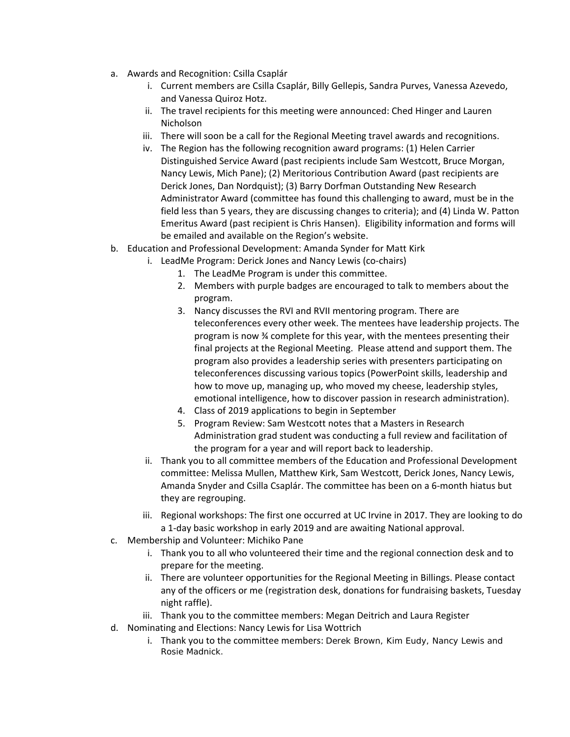- a. Awards and Recognition: Csilla Csaplár
	- i. Current members are Csilla Csaplár, Billy Gellepis, Sandra Purves, Vanessa Azevedo, and Vanessa Quiroz Hotz.
	- ii. The travel recipients for this meeting were announced: Ched Hinger and Lauren Nicholson
	- iii. There will soon be a call for the Regional Meeting travel awards and recognitions.
	- iv. The Region has the following recognition award programs: (1) Helen Carrier Distinguished Service Award (past recipients include Sam Westcott, Bruce Morgan, Nancy Lewis, Mich Pane); (2) Meritorious Contribution Award (past recipients are Derick Jones, Dan Nordquist); (3) Barry Dorfman Outstanding New Research Administrator Award (committee has found this challenging to award, must be in the field less than 5 years, they are discussing changes to criteria); and (4) Linda W. Patton Emeritus Award (past recipient is Chris Hansen). Eligibility information and forms will be emailed and available on the Region's website.
- b. Education and Professional Development: Amanda Synder for Matt Kirk
	- i. LeadMe Program: Derick Jones and Nancy Lewis (co‐chairs)
		- 1. The LeadMe Program is under this committee.
		- 2. Members with purple badges are encouraged to talk to members about the program.
		- 3. Nancy discusses the RVI and RVII mentoring program. There are teleconferences every other week. The mentees have leadership projects. The program is now ¾ complete for this year, with the mentees presenting their final projects at the Regional Meeting. Please attend and support them. The program also provides a leadership series with presenters participating on teleconferences discussing various topics (PowerPoint skills, leadership and how to move up, managing up, who moved my cheese, leadership styles, emotional intelligence, how to discover passion in research administration).
		- 4. Class of 2019 applications to begin in September
		- 5. Program Review: Sam Westcott notes that a Masters in Research Administration grad student was conducting a full review and facilitation of the program for a year and will report back to leadership.
	- ii. Thank you to all committee members of the Education and Professional Development committee: Melissa Mullen, Matthew Kirk, Sam Westcott, Derick Jones, Nancy Lewis, Amanda Snyder and Csilla Csaplár. The committee has been on a 6‐month hiatus but they are regrouping.
	- iii. Regional workshops: The first one occurred at UC Irvine in 2017. They are looking to do a 1‐day basic workshop in early 2019 and are awaiting National approval.
- c. Membership and Volunteer: Michiko Pane
	- i. Thank you to all who volunteered their time and the regional connection desk and to prepare for the meeting.
	- ii. There are volunteer opportunities for the Regional Meeting in Billings. Please contact any of the officers or me (registration desk, donations for fundraising baskets, Tuesday night raffle).
	- iii. Thank you to the committee members: Megan Deitrich and Laura Register
- d. Nominating and Elections: Nancy Lewis for Lisa Wottrich
	- i. Thank you to the committee members: Derek Brown, Kim Eudy, Nancy Lewis and Rosie Madnick.